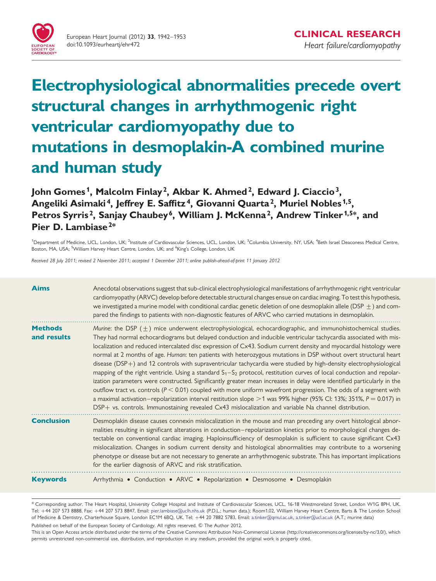

# Electrophysiological abnormalities precede overt structural changes in arrhythmogenic right ventricular cardiomyopathy due to mutations in desmoplakin-A combined murine and human study

John Gomes<sup>1</sup>, Malcolm Finlay<sup>2</sup>, Akbar K. Ahmed<sup>2</sup>, Edward J. Ciaccio<sup>3</sup>, Angeliki Asimaki<sup>4</sup>, Jeffrey E. Saffitz<sup>4</sup>, Giovanni Quarta<sup>2</sup>, Muriel Nobles<sup>1,5</sup>, Petros Syrris<sup>2</sup>, Sanjay Chaubey<sup>6</sup>, William J. McKenna<sup>2</sup>, Andrew Tinker<sup>1,5\*</sup>, and Pier D. Lambiase<sup>2\*</sup>

<sup>1</sup>Department of Medicine, UCL, London, UK; <sup>2</sup>Institute of Cardiovascular Sciences, UCL, London, UK; <sup>3</sup>Columbia University, NY, USA; <sup>4</sup>Beth Israel Deaconess Medical Centre, Boston, MA, USA; <sup>5</sup>William Harvey Heart Centre, London, UK; and <sup>6</sup>King's College, London, UK

Received 28 July 2011; revised 2 November 2011; accepted 1 December 2011; online publish-ahead-of-print 11 January 2012

| <b>Aims</b>                   | Anecdotal observations suggest that sub-clinical electrophysiological manifestations of arrhythmogenic right ventricular<br>cardiomyopathy (ARVC) develop before detectable structural changes ensue on cardiac imaging. To test this hypothesis,<br>we investigated a murine model with conditional cardiac genetic deletion of one desmoplakin allele (DSP $\pm$ ) and com-<br>pared the findings to patients with non-diagnostic features of ARVC who carried mutations in desmoplakin.                                                                                                                                                                                                                                                                                                                                                                                                                                                                                                                                                                                                                                                                                                                               |
|-------------------------------|--------------------------------------------------------------------------------------------------------------------------------------------------------------------------------------------------------------------------------------------------------------------------------------------------------------------------------------------------------------------------------------------------------------------------------------------------------------------------------------------------------------------------------------------------------------------------------------------------------------------------------------------------------------------------------------------------------------------------------------------------------------------------------------------------------------------------------------------------------------------------------------------------------------------------------------------------------------------------------------------------------------------------------------------------------------------------------------------------------------------------------------------------------------------------------------------------------------------------|
| <b>Methods</b><br>and results | Murine: the DSP $(\pm)$ mice underwent electrophysiological, echocardiographic, and immunohistochemical studies.<br>They had normal echocardiograms but delayed conduction and inducible ventricular tachycardia associated with mis-<br>localization and reduced intercalated disc expression of Cx43. Sodium current density and myocardial histology were<br>normal at 2 months of age. Human: ten patients with heterozygous mutations in DSP without overt structural heart<br>disease (DSP+) and 12 controls with supraventricular tachycardia were studied by high-density electrophysiological<br>mapping of the right ventricle. Using a standard $S_1-S_2$ protocol, restitution curves of local conduction and repolar-<br>ization parameters were constructed. Significantly greater mean increases in delay were identified particularly in the<br>outflow tract vs. controls ( $P < 0.01$ ) coupled with more uniform wavefront progression. The odds of a segment with<br>a maximal activation–repolarization interval restitution slope > 1 was 99% higher (95% CI: 13%; 351%, $P = 0.017$ ) in<br>DSP+ vs. controls. Immunostaining revealed Cx43 mislocalization and variable Na channel distribution. |
| <b>Conclusion</b>             | Desmoplakin disease causes connexin mislocalization in the mouse and man preceding any overt histological abnor-<br>malities resulting in significant alterations in conduction–repolarization kinetics prior to morphological changes de-<br>tectable on conventional cardiac imaging. Haploinsufficiency of desmoplakin is sufficient to cause significant Cx43<br>mislocalization. Changes in sodium current density and histological abnormalities may contribute to a worsening<br>phenotype or disease but are not necessary to generate an arrhythmogenic substrate. This has important implications<br>for the earlier diagnosis of ARVC and risk stratification.                                                                                                                                                                                                                                                                                                                                                                                                                                                                                                                                                |
| <b>Keywords</b>               | Arrhythmia · Conduction · ARVC · Repolarization · Desmosome · Desmoplakin                                                                                                                                                                                                                                                                                                                                                                                                                                                                                                                                                                                                                                                                                                                                                                                                                                                                                                                                                                                                                                                                                                                                                |

\* Corresponding author. The Heart Hospital, University College Hospital and Institute of Cardiovascular Sciences, UCL, 16-18 Westmoreland Street, London W1G 8PH, UK. Tel: +44 207 573 8888, Fax: +44 207 573 8847, Email: [pier.lambiase@uclh.nhs.uk](mailto:pier.lambiase@uclh.nhs.uk) (P.D.L.; human data.); Room1.02, William Harvey Heart Centre, Barts & The London School of Medicine & Dentistry, Charterhouse Square, London EC1M 6BQ, UK. Tel: +44 20 7882 5783, Email: [a.tinker@qmul.ac.uk](mailto:a.tinker@qmul.ac.uk), [a.tinker@ucl.ac.uk](mailto:a.tinker@ucl.ac.uk) (A.T.; murine data)

Published on behalf of the European Society of Cardiology. All rights reserved. © The Author 2012.

This is an Open Access article distributed under the terms of the Creative Commons Attribution Non-Commercial License (http://creativecommons.org/licenses/by-nc/3.0/), which permits unrestricted non-commercial use, distribution, and reproduction in any medium, provided the original work is properly cited.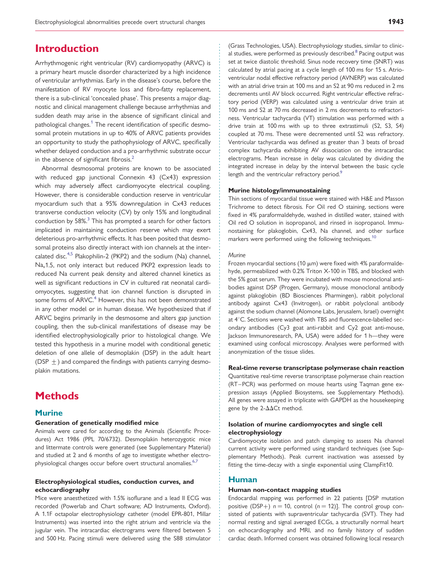## Introduction

Arrhythmogenic right ventricular (RV) cardiomyopathy (ARVC) is a primary heart muscle disorder characterized by a high incidence of ventricular arrhythmias. Early in the disease's course, before the manifestation of RV myocyte loss and fibro-fatty replacement, there is a sub-clinical 'concealed phase'. This presents a major diagnostic and clinical management challenge because arrhythmias and sudden death may arise in the absence of significant clinical and pathological changes.<sup>[1](#page-10-0)</sup> The recent identification of specific desmosomal protein mutations in up to 40% of ARVC patients provides an opportunity to study the pathophysiology of ARVC, specifically whether delayed conduction and a pro-arrhythmic substrate occur in the absence of significant fibrosis. $<sup>2</sup>$  $<sup>2</sup>$  $<sup>2</sup>$ </sup>

Abnormal desmosomal proteins are known to be associated with reduced gap junctional Connexin 43 (Cx43) expression which may adversely affect cardiomyocyte electrical coupling. However, there is considerable conduction reserve in ventricular myocardium such that a 95% downregulation in Cx43 reduces transverse conduction velocity (CV) by only 15% and longitudinal conduction by  $58\%$ <sup>[3](#page-10-0)</sup> This has prompted a search for other factors implicated in maintaining conduction reserve which may exert deleterious pro-arrhythmic effects. It has been posited that desmosomal proteins also directly interact with ion channels at the inter-calated disc.<sup>[4,5](#page-10-0)</sup> Plakophilin-2 (PKP2) and the sodium (Na) channel, Na<sub>v</sub>1.5, not only interact but reduced PKP2 expression leads to reduced Na current peak density and altered channel kinetics as well as significant reductions in CV in cultured rat neonatal cardiomyocytes, suggesting that ion channel function is disrupted in some forms of ARVC.<sup>[4](#page-10-0)</sup> However, this has not been demonstrated in any other model or in human disease. We hypothesized that if ARVC begins primarily in the desmosome and alters gap junction coupling, then the sub-clinical manifestations of disease may be identified electrophysiologically prior to histological change. We tested this hypothesis in a murine model with conditional genetic deletion of one allele of desmoplakin (DSP) in the adult heart (DSP  $\pm$ ) and compared the findings with patients carrying desmoplakin mutations.

# **Methods**

#### **Murine**

#### Generation of genetically modified mice

Animals were cared for according to the Animals (Scientific Procedures) Act 1986 (PPL 70/6732). Desmoplakin heterozygotic mice and littermate controls were generated (see [Supplementary Material](http://eurheartj.oxfordjournals.org/lookup/suppl/doi:10.1093/eurheartj/ehr472/-/DC1)) and studied at 2 and 6 months of age to investigate whether electro-physiological changes occur before overt structural anomalies.<sup>[6,7](#page-10-0)</sup>

#### Electrophysiological studies, conduction curves, and echocardiography

Mice were anaesthetized with 1.5% isoflurane and a lead II ECG was recorded (Powerlab and Chart software; AD Instruments, Oxford). A 1.1F octapolar electrophysiology catheter (model EPR-801, Millar Instruments) was inserted into the right atrium and ventricle via the jugular vein. The intracardiac electrograms were filtered between 5 and 500 Hz. Pacing stimuli were delivered using the S88 stimulator

(Grass Technologies, USA). Electrophysiology studies, similar to clinic-al studies, were performed as previously described.<sup>[8](#page-10-0)</sup> Pacing output was set at twice diastolic threshold. Sinus node recovery time (SNRT) was calculated by atrial pacing at a cycle length of 100 ms for 15 s. Atrioventricular nodal effective refractory period (AVNERP) was calculated with an atrial drive train at 100 ms and an S2 at 90 ms reduced in 2 ms decrements until AV block occurred. Right ventricular effective refractory period (VERP) was calculated using a ventricular drive train at 100 ms and S2 at 70 ms decreased in 2 ms decrements to refractoriness. Ventricular tachycardia (VT) stimulation was performed with a drive train at 100 ms with up to three extrastimuli (S2, S3, S4) coupled at 70 ms. These were decremented until S2 was refractory. Ventricular tachycardia was defined as greater than 3 beats of broad complex tachycardia exhibiting AV dissociation on the intracardiac electrograms. Mean increase in delay was calculated by dividing the integrated increase in delay by the interval between the basic cycle length and the ventricular refractory period.<sup>[9](#page-10-0)</sup>

#### Murine histology/immunostaining

Thin sections of myocardial tissue were stained with H&E and Masson Trichrome to detect fibrosis. For Oil red O staining, sections were fixed in 4% paraformaldehyde, washed in distilled water, stained with Oil red O solution in isopropanol, and rinsed in isopropanol. Immunostaining for plakoglobin, Cx43, Na channel, and other surface markers were performed using the following techniques.<sup>[10](#page-10-0)</sup>

#### **Murine**

Frozen myocardial sections (10  $\mu$ m) were fixed with 4% paraformaldehyde, permeabilized with 0.2% Triton X-100 in TBS, and blocked with the 5% goat serum. They were incubated with mouse monoclonal antibodies against DSP (Progen, Germany), mouse monoclonal antibody against plakoglobin (BD Biosciences Pharmingen), rabbit polyclonal antibody against Cx43 (Invitrogen), or rabbit polyclonal antibody against the sodium channel (Alomone Labs, Jerusalem, Israel) overnight at 4°C. Sections were washed with TBS and fluorescence-labelled secondary antibodies (Cy3 goat anti-rabbit and Cy2 goat anti-mouse, Jackson Immunoresearch, PA, USA) were added for 1 h—they were examined using confocal microscopy. Analyses were performed with anonymization of the tissue slides.

#### Real-time reverse transcriptase polymerase chain reaction

Quantitative real-time reverse transcriptase polymerase chain reaction (RT–PCR) was performed on mouse hearts using Taqman gene expression assays (Applied Biosystems, see [Supplementary Methods](http://eurheartj.oxfordjournals.org/lookup/suppl/doi:10.1093/eurheartj/ehr472/-/DC1)). All genes were assayed in triplicate with GAPDH as the housekeeping gene by the  $2-\Delta\Delta$ Ct method.

#### Isolation of murine cardiomyocytes and single cell electrophysiology

Cardiomyocyte isolation and patch clamping to assess Na channel current activity were performed using standard techniques (see [Sup](http://eurheartj.oxfordjournals.org/lookup/suppl/doi:10.1093/eurheartj/ehr472/-/DC1)[plementary Methods\)](http://eurheartj.oxfordjournals.org/lookup/suppl/doi:10.1093/eurheartj/ehr472/-/DC1). Peak current inactivation was assessed by fitting the time-decay with a single exponential using ClampFit10.

#### Human

#### Human non-contact mapping studies

Endocardial mapping was performed in 22 patients [DSP mutation positive (DSP+)  $n = 10$ , control  $(n = 12)$ ]. The control group consisted of patients with supraventricular tachycardia (SVT). They had normal resting and signal averaged ECGs, a structurally normal heart on echocardiography and MRI, and no family history of sudden cardiac death. Informed consent was obtained following local research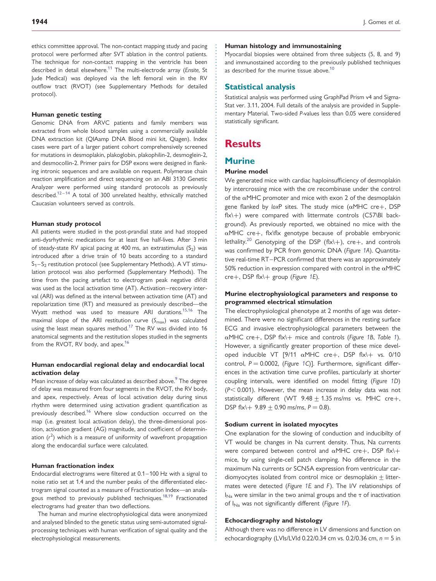ethics committee approval. The non-contact mapping study and pacing protocol were performed after SVT ablation in the control patients. The technique for non-contact mapping in the ventricle has been described in detail elsewhere.<sup>11</sup> The multi-electrode array (Ensite, St Jude Medical) was deployed via the left femoral vein in the RV outflow tract (RVOT) (see [Supplementary Methods](http://eurheartj.oxfordjournals.org/lookup/suppl/doi:10.1093/eurheartj/ehr472/-/DC1) for detailed protocol).

#### Human genetic testing

Genomic DNA from ARVC patients and family members was extracted from whole blood samples using a commercially available DNA extraction kit (QIAamp DNA Blood mini kit, Qiagen). Index cases were part of a larger patient cohort comprehensively screened for mutations in desmoplakin, plakoglobin, plakophilin-2, desmoglein-2, and desmocollin-2. Primer pairs for DSP exons were designed in flanking intronic sequences and are available on request. Polymerase chain reaction amplification and direct sequencing on an ABI 3130 Genetic Analyzer were performed using standard protocols as previously described.<sup>[12](#page-10-0)-[14](#page-10-0)</sup> A total of 300 unrelated healthy, ethnically matched Caucasian volunteers served as controls.

#### Human study protocol

All patients were studied in the post-prandial state and had stopped anti-dysrhythmic medications for at least five half-lives. After 3 min of steady-state RV apical pacing at 400 ms, an extrastimulus  $(S_2)$  was introduced after a drive train of 10 beats according to a standard  $S_1 - S_2$  restitution protocol (see [Supplementary Methods](http://eurheartj.oxfordjournals.org/lookup/suppl/doi:10.1093/eurheartj/ehr472/-/DC1)). A VT stimulation protocol was also performed ([Supplementary Methods\)](http://eurheartj.oxfordjournals.org/lookup/suppl/doi:10.1093/eurheartj/ehr472/-/DC1). The time from the pacing artefact to electrogram peak negative dV/dt was used as the local activation time (AT). Activation–recovery interval (ARI) was defined as the interval between activation time (AT) and repolarization time (RT) and measured as previously described—the Wyatt method was used to measure ARI durations.<sup>15,16</sup> The maximal slope of the ARI restitution curve  $(S_{\text{max}})$  was calculated using the least mean squares method.<sup>[17](#page-10-0)</sup> The RV was divided into 16 anatomical segments and the restitution slopes studied in the segments from the RVOT, RV body, and apex.<sup>16</sup>

#### Human endocardial regional delay and endocardial local activation delay

Mean increase of delay was calculated as described above.<sup>[9](#page-10-0)</sup> The degree of delay was measured from four segments in the RVOT, the RV body, and apex, respectively. Areas of local activation delay during sinus rhythm were determined using activation gradient quantification as previously described.<sup>[16](#page-10-0)</sup> Where slow conduction occurred on the map (i.e. greatest local activation delay), the three-dimensional position, activation gradient (AG) magnitude, and coefficient of determination  $(r^2)$  which is a measure of uniformity of wavefront propagation along the endocardial surface were calculated.

#### Human fractionation index

Endocardial electrograms were filtered at 0.1–100 Hz with a signal to noise ratio set at 1.4 and the number peaks of the differentiated electrogram signal counted as a measure of Fractionation Index—an anala-gous method to previously published techniques.<sup>[18,19](#page-10-0)</sup> Fractionated electrograms had greater than two deflections.

The human and murine electrophysiological data were anonymized and analysed blinded to the genetic status using semi-automated signalprocessing techniques with human verification of signal quality and the electrophysiological measurements.

#### Human histology and immunostaining

Myocardial biopsies were obtained from three subjects (5, 8, and 9) and immunostained according to the previously published techniques as described for the murine tissue above.<sup>10</sup>

#### Statistical analysis

Statistical analysis was performed using GraphPad Prism v4 and Sigma-Stat ver. 3.11, 2004. Full details of the analysis are provided in [Supple](http://eurheartj.oxfordjournals.org/lookup/suppl/doi:10.1093/eurheartj/ehr472/-/DC1)[mentary Material.](http://eurheartj.oxfordjournals.org/lookup/suppl/doi:10.1093/eurheartj/ehr472/-/DC1) Two-sided P-values less than 0.05 were considered statistically significant.

## **Results**

#### Murine

#### Murine model

We generated mice with cardiac haploinsufficiency of desmoplakin by intercrossing mice with the cre recombinase under the control of the  $\alpha$ MHC promoter and mice with exon 2 of the desmoplakin gene flanked by loxP sites. The study mice  $(\alpha MHC \, cre+, \, DSP)$ flx\+) were compared with littermate controls (C57\Bl background). As previously reported, we obtained no mice with the  $\alpha$ MHC cre+, flx\flx genotype because of probable embryonic lethality.<sup>20</sup> Genotyping of the DSP (flx\+), cre+, and controls was confirmed by PCR from genomic DNA (Figure [1](#page-3-0)A). Quantitative real-time RT–PCR confirmed that there was an approximately 50% reduction in expression compared with control in the  $\alpha$ MHC cre+, DSP flx $\rightarrow$  group (Figure [1](#page-3-0)E).

#### Murine electrophysiological parameters and response to programmed electrical stimulation

The electrophysiological phenotype at 2 months of age was determined. There were no significant differences in the resting surface ECG and invasive electrophysiological parameters between the  $\alpha$ MHC cre+, DSP flx\+ mice and controls (Figure [1B](#page-3-0), Table [1](#page-4-0)). However, a significantly greater proportion of these mice developed inducible VT [9/11  $\alpha$ MHC cre+, DSP flx\+ vs. 0/10 control,  $P = 0.0002$ , (Figure [1](#page-3-0)C)]. Furthermore, significant differences in the activation time curve profiles, particularly at shorter coupling intervals, were identified on model fitting (Figure [1](#page-3-0)D)  $(P< 0.001)$ . However, the mean increase in delay data was not statistically different (WT 9.48  $\pm$  1.35 ms/ms vs. MHC cre+, DSP flx\+ 9.89  $\pm$  0.90 ms/ms, P = 0.8).

#### Sodium current in isolated myocytes

One explanation for the slowing of conduction and inducibilty of VT would be changes in Na current density. Thus, Na currents were compared between control and  $\alpha$ MHC cre+, DSP flx\+ mice, by using single-cell patch clamping. No difference in the maximum Na currents or SCN5A expression from ventricular cardiomyocytes isolated from control mice or desmoplakin  $\pm$  littermates were detected (Figure [1](#page-3-0)E and F). The I/V relationships of  $I_{\text{Na}}$  were similar in the two animal groups and the  $\tau$  of inactivation of  $I_{N_a}$  was not significantly different (Figure [1F](#page-3-0)).

#### Echocardiography and histology

Although there was no difference in LV dimensions and function on echocardiography (LVIs/LVId 0.22/0.34 cm vs. 0.2/0.36 cm,  $n = 5$  in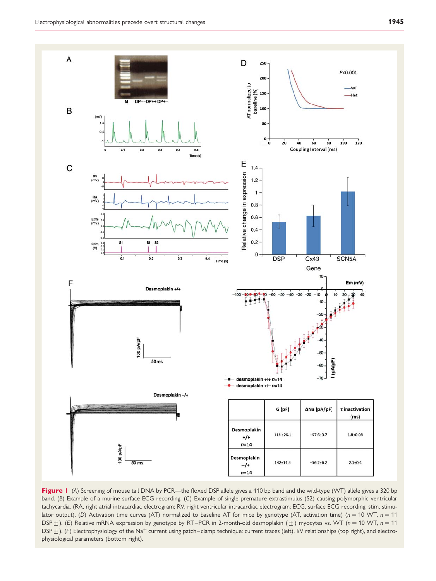<span id="page-3-0"></span>

Figure I (A) Screening of mouse tail DNA by PCR—the floxed DSP allele gives a 410 bp band and the wild-type (WT) allele gives a 320 bp band. (B) Example of a murine surface ECG recording. (C) Example of single premature extrastimulus (S2) causing polymorphic ventricular tachycardia. (RA, right atrial intracardiac electrogram; RV, right ventricular intracardiac electrogram; ECG, surface ECG recording; stim, stimulator output). (D) Activation time curves (AT) normalized to baseline AT for mice by genotype (AT, activation time) ( $n = 10$  WT,  $n = 11$ DSP  $\pm$ ). (E) Relative mRNA expression by genotype by RT–PCR in 2-month-old desmoplakin ( $\pm$ ) myocytes vs. WT (n = 10 WT, n = 11 DSP  $\pm$  ). (F) Electrophysiology of the Na<sup>+</sup> current using patch–clamp technique: current traces (left), I/V relationships (top right), and electrophysiological parameters (bottom right).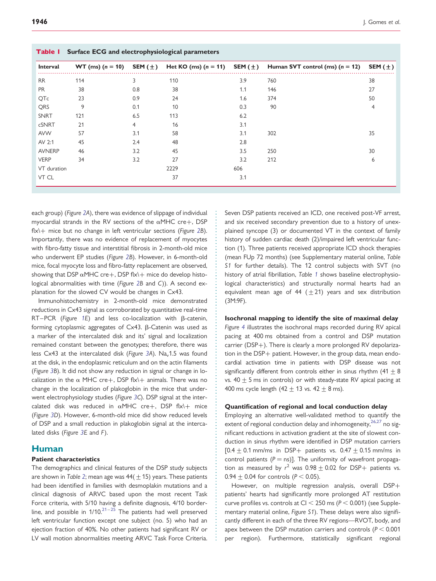<span id="page-4-0"></span>

| Interval      | $WT (ms) (n = 10)$ | SEM ( $\pm$ )  | Het KO (ms) $(n = 11)$ SEM $(\pm)$ |     | Human SVT control (ms) $(n = 12)$ | SEM $(\pm)$    |
|---------------|--------------------|----------------|------------------------------------|-----|-----------------------------------|----------------|
| <b>RR</b>     | 114                | 3              | 110                                | 3.9 | 760                               | 38             |
| <b>PR</b>     | 38                 | 0.8            | 38                                 | 1.1 | 146                               | 27             |
| QTc           | 23                 | 0.9            | 24                                 | 1.6 | 374                               | 50             |
| QRS           | 9                  | 0.1            | 10                                 | 0.3 | 90                                | $\overline{4}$ |
| <b>SNRT</b>   | 121                | 6.5            | 113                                | 6.2 |                                   |                |
| cSNRT         | 21                 | $\overline{4}$ | 16                                 | 3.1 |                                   |                |
| <b>AVW</b>    | 57                 | 3.1            | 58                                 | 3.1 | 302                               | 35             |
| AV 2:1        | 45                 | 2.4            | 48                                 | 2.8 |                                   |                |
| <b>AVNERP</b> | 46                 | 3.2            | 45                                 | 3.5 | 250                               | 30             |
| <b>VERP</b>   | 34                 | 3.2            | 27                                 | 3.2 | 212                               | 6              |
| VT duration   |                    |                | 2229                               | 606 |                                   |                |
| VT CL         |                    |                | 37                                 | 3.1 |                                   |                |

each group) (Figure [2A](#page-5-0)), there was evidence of slippage of individual myocardial strands in the RV sections of the  $\alpha$ MHC cre+, DSP  $f$ lx $\rightarrow$  mice but no change in left ventricular sections (Figure [2B](#page-5-0)). Importantly, there was no evidence of replacement of myocytes with fibro-fatty tissue and interstitial fibrosis in 2-month-old mice who underwent EP studies (Figure [2](#page-5-0)B). However, in 6-month-old mice, focal myocyte loss and fibro-fatty replacement are observed, showing that DSP  $\alpha$ MHC cre+, DSP flx\+ mice do develop histological abnormalities with time (Figure [2B](#page-5-0) and C)). A second explanation for the slowed CV would be changes in Cx43.

Immunohistochemistry in 2-month-old mice demonstrated reductions in Cx43 signal as corroborated by quantitative real-time RT–PCR (Figure [1E](#page-3-0)) and less co-localization with  $\beta$ -catenin, forming cytoplasmic aggregates of Cx43. B-Catenin was used as a marker of the intercalated disk and its' signal and localization remained constant between the genotypes; therefore, there was less Cx43 at the intercalated disk (Figure [3A](#page-6-0)). Na<sub>v</sub>1.5 was found at the disk, in the endoplasmic reticulum and on the actin filaments (Figure [3](#page-6-0)B). It did not show any reduction in signal or change in localization in the  $\alpha$  MHC cre+, DSP flx\+ animals. There was no change in the localization of plakoglobin in the mice that underwent electrophysiology studies (Figure [3](#page-6-0)C). DSP signal at the intercalated disk was reduced in  $\alpha$ MHC cre+, DSP flx\+ mice (Figure [3D](#page-6-0)). However, 6-month-old mice did show reduced levels of DSP and a small reduction in plakoglobin signal at the intercalated disks (Figure [3E](#page-6-0) and F).

#### Human

#### Patient characteristics

The demographics and clinical features of the DSP study subjects are shown in Table [2](#page-7-0); mean age was  $44(+15)$  years. These patients had been identified in families with desmoplakin mutations and a clinical diagnosis of ARVC based upon the most recent Task Force criteria, with 5/10 having a definite diagnosis, 4/10 borderline, and possible in  $1/10.^{21-25}$  $1/10.^{21-25}$  $1/10.^{21-25}$  The patients had well preserved left ventricular function except one subject (no. 5) who had an ejection fraction of 40%. No other patients had significant RV or LV wall motion abnormalities meeting ARVC Task Force Criteria. Seven DSP patients received an ICD, one received post-VF arrest, and six received secondary prevention due to a history of unexplained syncope (3) or documented VT in the context of family history of sudden cardiac death (2)/impaired left ventricular function (1). Three patients received appropriate ICD shock therapies (mean FUp 72 months) (see [Supplementary material online,](http://eurheartj.oxfordjournals.org/lookup/suppl/doi:10.1093/eurheartj/ehr472/-/DC1) Table [S1](http://eurheartj.oxfordjournals.org/lookup/suppl/doi:10.1093/eurheartj/ehr472/-/DC1) for further details). The 12 control subjects with SVT (no history of atrial fibrillation, Table 1 shows baseline electrophysiological characteristics) and structurally normal hearts had an equivalent mean age of 44 ( $\pm$ 21) years and sex distribution (3M:9F).

#### Isochronal mapping to identify the site of maximal delay

Figure [4](#page-8-0) illustrates the isochronal maps recorded during RV apical pacing at 400 ms obtained from a control and DSP mutation carrier (DSP+). There is clearly a more prolonged RV depolarization in the DSP+ patient. However, in the group data, mean endocardial activation time in patients with DSP disease was not significantly different from controls either in sinus rhythm (41  $\pm$  8 vs.  $40 + 5$  ms in controls) or with steady-state RV apical pacing at 400 ms cycle length  $(42 + 13 \text{ vs. } 42 + 8 \text{ ms}).$ 

#### Quantification of regional and local conduction delay

Employing an alternative well-validated method to quantify the extent of regional conduction delay and inhomogeneity,  $26,27$  $26,27$  $26,27$  no significant reductions in activation gradient at the site of slowest conduction in sinus rhythm were identified in DSP mutation carriers  $[0.4 \pm 0.1$  mm/ms in DSP+ patients vs. 0.47  $\pm$  0.15 mm/ms in control patients  $(P = ns)$ ]. The uniformity of wavefront propagation as measured by  $r^2$  was  $0.98 \pm 0.02$  for DSP+ patients vs.  $0.94 + 0.04$  for controls ( $P < 0.05$ ).

However, on multiple regression analysis, overall DSP+ patients' hearts had significantly more prolonged AT restitution curve profiles vs. controls at CI  $<$  250 ms (P  $<$  0.001) (see [Supple](http://eurheartj.oxfordjournals.org/lookup/suppl/doi:10.1093/eurheartj/ehr472/-/DC1)[mentary material online,](http://eurheartj.oxfordjournals.org/lookup/suppl/doi:10.1093/eurheartj/ehr472/-/DC1) Figure S1). These delays were also significantly different in each of the three RV regions—RVOT, body, and apex between the DSP mutation carriers and controls ( $P < 0.001$ per region). Furthermore, statistically significant regional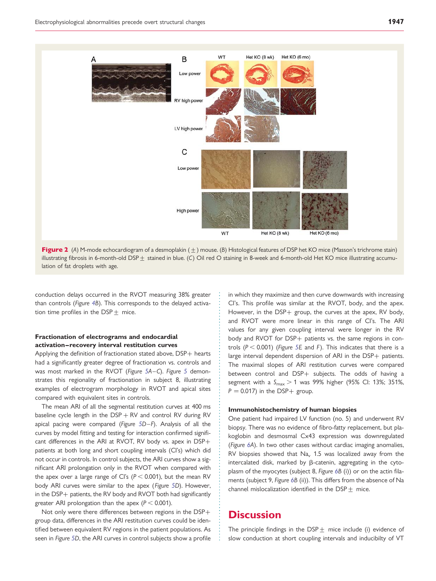<span id="page-5-0"></span>

Figure 2 (A) M-mode echocardiogram of a desmoplakin  $(+)$  mouse. (B) Histological features of DSP het KO mice (Masson's trichrome stain) illustrating fibrosis in 6-month-old DSP  $\pm$  stained in blue. (C) Oil red O staining in 8-week and 6-month-old Het KO mice illustrating accumulation of fat droplets with age.

conduction delays occurred in the RVOT measuring 38% greater than controls (Figure [4](#page-8-0)B). This corresponds to the delayed activation time profiles in the DSP $+$  mice.

#### Fractionation of electrograms and endocardial activation–recovery interval restitution curves

Applying the definition of fractionation stated above, DSP+ hearts had a significantly greater degree of fractionation vs. controls and was most marked in the RVOT (Figure [5A](#page-9-0)–C). Figure [5](#page-9-0) demonstrates this regionality of fractionation in subject 8, illustrating examples of electrogram morphology in RVOT and apical sites compared with equivalent sites in controls.

The mean ARI of all the segmental restitution curves at 400 ms baseline cycle length in the  $DSP + RV$  and control RV during RV apical pacing were compared (Figure [5](#page-9-0)D–F). Analysis of all the curves by model fitting and testing for interaction confirmed significant differences in the ARI at RVOT, RV body vs. apex in DSP+ patients at both long and short coupling intervals (CI's) which did not occur in controls. In control subjects, the ARI curves show a significant ARI prolongation only in the RVOT when compared with the apex over a large range of CI's ( $P < 0.001$ ), but the mean RV body ARI curves were similar to the apex (Figure [5](#page-9-0)D). However, in the DSP+ patients, the RV body and RVOT both had significantly greater ARI prolongation than the apex ( $P < 0.001$ ).

Not only were there differences between regions in the DSP+ group data, differences in the ARI restitution curves could be identified between equivalent RV regions in the patient populations. As seen in Figure [5](#page-9-0)D, the ARI curves in control subjects show a profile in which they maximize and then curve downwards with increasing CI's. This profile was similar at the RVOT, body, and the apex. However, in the DSP+ group, the curves at the apex, RV body, and RVOT were more linear in this range of CI's. The ARI values for any given coupling interval were longer in the RV body and RVOT for DSP+ patients vs. the same regions in controls ( $P < 0.001$ ) (Figure [5](#page-9-0)E and F). This indicates that there is a large interval dependent dispersion of ARI in the DSP+ patients. The maximal slopes of ARI restitution curves were compared between control and DSP+ subjects. The odds of having a segment with a  $S_{\text{max}} > 1$  was 99% higher (95% Cl: 13%; 351%,  $P = 0.017$ ) in the DSP+ group.

#### Immunohistochemistry of human biopsies

One patient had impaired LV function (no. 5) and underwent RV biopsy. There was no evidence of fibro-fatty replacement, but plakoglobin and desmosmal Cx43 expression was downregulated (Figure [6](#page-10-0)A). In two other cases without cardiac imaging anomalies, RV biopsies showed that  $Na<sub>v</sub>$  1.5 was localized away from the intercalated disk, marked by B-catenin, aggregating in the cytoplasm of the myocytes (subject 8, Figure [6](#page-10-0)B (i)) or on the actin filaments (subject 9, Figure [6](#page-10-0)B (ii)). This differs from the absence of Na channel mislocalization identified in the  $\text{DSP}_{\pm}$  mice.

## **Discussion**

The principle findings in the DSP $+$  mice include (i) evidence of slow conduction at short coupling intervals and inducibilty of VT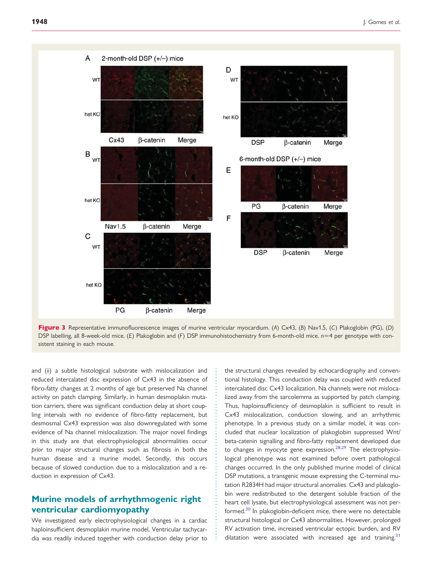<span id="page-6-0"></span>



and (ii) a subtle histological substrate with mislocalization and reduced intercalated disc expression of Cx43 in the absence of fibro-fatty changes at 2 months of age but preserved Na channel activity on patch clamping. Similarly, in human desmoplakin mutation carriers, there was significant conduction delay at short coupling intervals with no evidence of fibro-fatty replacement, but desmosmal Cx43 expression was also downregulated with some evidence of Na channel mislocalization. The major novel findings in this study are that electrophysiological abnormalities occur prior to major structural changes such as fibrosis in both the human disease and a murine model. Secondly, this occurs because of slowed conduction due to a mislocalization and a reduction in expression of Cx43.

## Murine models of arrhythmogenic right ventricular cardiomyopathy

We investigated early electrophysiological changes in a cardiac haploinsufficient desmoplakin murine model. Ventricular tachycardia was readily induced together with conduction delay prior to

the structural changes revealed by echocardiography and conventional histology. This conduction delay was coupled with reduced intercalated disc Cx43 localization. Na channels were not mislocalized away from the sarcolemma as supported by patch clamping. Thus, haploinsufficiency of desmoplakin is sufficient to result in Cx43 mislocalization, conduction slowing, and an arrhythmic phenotype. In a previous study on a similar model, it was concluded that nuclear localization of plakoglobin suppressed Wnt/ beta-catenin signalling and fibro-fatty replacement developed due to changes in myocyte gene expression. $^{28,29}$  $^{28,29}$  $^{28,29}$  The electrophysiological phenotype was not examined before overt pathological changes occurred. In the only published murine model of clinical DSP mutations, a transgenic mouse expressing the C-terminal mutation R2834H had major structural anomalies. Cx43 and plakoglobin were redistributed to the detergent soluble fraction of the heart cell lysate, but electrophysiological assessment was not performed.<sup>30</sup> In plakoglobin-deficient mice, there were no detectable structural histological or Cx43 abnormalities. However, prolonged RV activation time, increased ventricular ectopic burden, and RV dilatation were associated with increased age and training.<sup>[31](#page-11-0)</sup>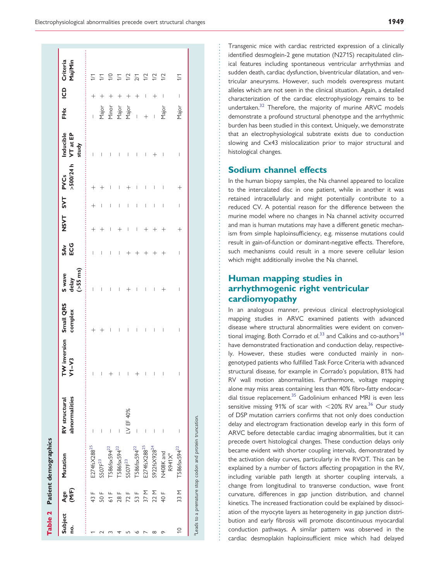<span id="page-7-0"></span>

|                |              | Table 2 Patient demographics                                         |                                |                                     |                                                                                                                                                                                                                                                                                                                                                                                  |                                |                          |               |        |                                                   |                                       |                                  |        |                                |
|----------------|--------------|----------------------------------------------------------------------|--------------------------------|-------------------------------------|----------------------------------------------------------------------------------------------------------------------------------------------------------------------------------------------------------------------------------------------------------------------------------------------------------------------------------------------------------------------------------|--------------------------------|--------------------------|---------------|--------|---------------------------------------------------|---------------------------------------|----------------------------------|--------|--------------------------------|
| Subject<br>o.  | (M/F)<br>Age | Mutation                                                             | abnormalities<br>RV structural | TW inversion Small QRS<br>$V1 - V3$ | complex                                                                                                                                                                                                                                                                                                                                                                          | $(>55$ ms)<br>S wave<br>delay  | $\ddot{}}$<br>ECG<br>SAv | NSVT SVT PVCs |        | $>500/24 h$ VT at EP<br>study<br>:<br>::::::::::: | Inducible                             | 子<br>王                           |        | Maj/Min<br>ICD Criteria        |
|                | 43 F         | E274fsX288 <sup>25</sup>                                             | I                              | I                                   | $^{+}$                                                                                                                                                                                                                                                                                                                                                                           | $\overline{\phantom{a}}$       | $\overline{\phantom{a}}$ | $\,{}^+$      | $^{+}$ | $^{+}$                                            | $\begin{array}{c} \hline \end{array}$ |                                  | $^{+}$ | 1/1                            |
|                | 50F          | SSO7F <sup>23</sup>                                                  | I                              | I                                   |                                                                                                                                                                                                                                                                                                                                                                                  | I                              | I                        |               |        |                                                   | $\overline{\phantom{a}}$              |                                  | $^+$   | $\geq$                         |
|                | 61 F         | T586fsx594 <sup>22</sup>                                             | I                              | ┿                                   | I                                                                                                                                                                                                                                                                                                                                                                                | I                              | I                        | ı             | I      | ı                                                 | $\overline{\phantom{a}}$              | Major<br>Minor<br>Major<br>Major | ┿      | $\approx$                      |
|                | 28F          | T586fsx594 <sup>22</sup>                                             | I                              | I                                   | I                                                                                                                                                                                                                                                                                                                                                                                | I                              | I                        |               | I      | I                                                 | $\begin{array}{c} \end{array}$        |                                  | $^+$   | $\geq$                         |
|                | 72 F         | SSO7F <sup>23</sup>                                                  | LV EF 40%                      | I                                   | I                                                                                                                                                                                                                                                                                                                                                                                | $\, +$                         | $^+$                     | I             | $\mid$ | $^+$                                              | $\begin{array}{c} \end{array}$        |                                  | $^+$   | 1/2                            |
|                | 53 F         | T586fsx594 <sup>22</sup>                                             | I                              | $^+$                                | I                                                                                                                                                                                                                                                                                                                                                                                | I                              | $\overline{+}$           | I             | I      | I                                                 | I                                     | $\overline{1}$                   | $^{+}$ |                                |
|                | 37 M         | E274fsX288 <sup>25</sup>                                             | I                              | I                                   | $\begin{array}{c} \rule{0pt}{2.5ex} \rule{0pt}{2.5ex} \rule{0pt}{2.5ex} \rule{0pt}{2.5ex} \rule{0pt}{2.5ex} \rule{0pt}{2.5ex} \rule{0pt}{2.5ex} \rule{0pt}{2.5ex} \rule{0pt}{2.5ex} \rule{0pt}{2.5ex} \rule{0pt}{2.5ex} \rule{0pt}{2.5ex} \rule{0pt}{2.5ex} \rule{0pt}{2.5ex} \rule{0pt}{2.5ex} \rule{0pt}{2.5ex} \rule{0pt}{2.5ex} \rule{0pt}{2.5ex} \rule{0pt}{2.5ex} \rule{0$ | I                              | $^{+}$                   | $^{+}$        | I      | I                                                 | I                                     |                                  | I      |                                |
| $^\infty$      | 22 M         | S922fsX928 <sup>24</sup>                                             | I                              | I                                   | $\mid$                                                                                                                                                                                                                                                                                                                                                                           | I                              | $^{+}$                   |               | I      | I                                                 |                                       |                                  | $^{+}$ | $\frac{27}{12}$ $\frac{2}{12}$ |
| ᡡ              | 40 F         | N408K and<br>R941X <sup>a</sup>                                      | I                              | I                                   | I                                                                                                                                                                                                                                                                                                                                                                                | $^{+}$                         | $^{+}$                   |               | I      | I                                                 | I                                     | Major                            | I      | 1/2                            |
| $\overline{0}$ | 33 M         | T586fsx594 <sup>22</sup>                                             | I                              | I                                   | I                                                                                                                                                                                                                                                                                                                                                                                | $\begin{array}{c} \end{array}$ | I                        | $^+$          | I      | $^+$                                              | I                                     | Major                            | I      | 1/1                            |
|                |              | <sup>a</sup> Leads to a premature stop codon and protein truncation. |                                |                                     |                                                                                                                                                                                                                                                                                                                                                                                  |                                |                          |               |        |                                                   |                                       |                                  |        |                                |

Transgenic mice with cardiac restricted expression of a clinically identified desmoglein-2 gene mutation (N271S) recapitulated clinical features including spontaneous ventricular arrhythmias and sudden death, cardiac dysfunction, biventricular dilatation, and ventricular aneurysms. However, such models overexpress mutant alleles which are not seen in the clinical situation. Again, a detailed characterization of the cardiac electrophysiology remains to be undertaken.[32](#page-11-0) Therefore, the majority of murine ARVC models demonstrate a profound structural phenotype and the arrhythmic burden has been studied in this context. Uniquely, we demonstrate that an electrophysiological substrate exists due to conduction slowing and Cx43 mislocalization prior to major structural and histological changes.

## Sodium channel effects

In the human biopsy samples, the Na channel appeared to localize to the intercalated disc in one patient, while in another it was retained intracellularly and might potentially contribute to a reduced CV. A potential reason for the difference between the murine model where no changes in Na channel activity occurred and man is human mutations may have a different genetic mechanism from simple haploinsufficiency, e.g. missense mutations could result in gain-of-function or dominant-negative effects. Therefore, such mechanisms could result in a more severe cellular lesion which might additionally involve the Na channel.

## Human mapping studies in arrhythmogenic right ventricular cardiomyopathy

In an analogous manner, previous clinical electrophysiological mapping studies in ARVC examined patients with advanced disease where structural abnormalities were evident on conventional imaging. Both Corrado et  $al^{33}$  $al^{33}$  $al^{33}$  and Calkins and co-authors $^{34}$ have demonstrated fractionation and conduction delay, respectively. However, these studies were conducted mainly in nongenotyped patients who fulfilled Task Force Criteria with advanced structural disease, for example in Corrado's population, 81% had RV wall motion abnormalities. Furthermore, voltage mapping alone may miss areas containing less than 40% fibro-fatty endocardial tissue replacement.<sup>35</sup> Gadolinium enhanced MRI is even less sensitive missing 91% of scar with  $\langle 20\% \text{ RV area.}^{36} \text{ Our study} \rangle$ of DSP mutation carriers confirms that not only does conduction delay and electrogram fractionation develop early in this form of ARVC before detectable cardiac imaging abnormalities, but it can precede overt histological changes. These conduction delays only became evident with shorter coupling intervals, demonstrated by the activation delay curves, particularly in the RVOT. This can be explained by a number of factors affecting propagation in the RV, including variable path length at shorter coupling intervals, a change from longitudinal to transverse conduction, wave front curvature, differences in gap junction distribution, and channel kinetics. The increased fractionation could be explained by dissociation of the myocyte layers as heterogeneity in gap junction distribution and early fibrosis will promote discontinuous myocardial conduction pathways. A similar pattern was observed in the cardiac desmoplakin haploinsufficient mice which had delayed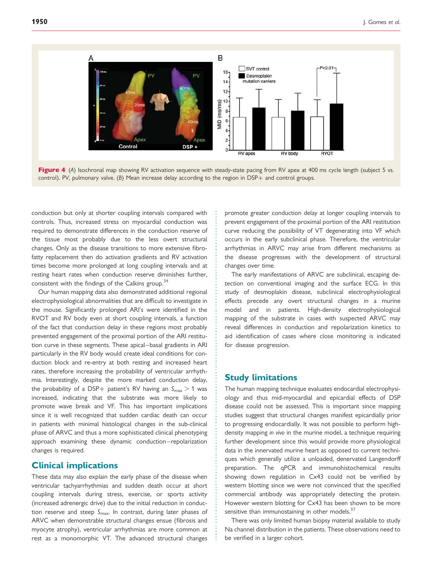<span id="page-8-0"></span>

Figure 4 (A) Isochronal map showing RV activation sequence with steady-state pacing from RV apex at 400 ms cycle length (subject 5 vs. control). PV, pulmonary valve. (B) Mean increase delay according to the region in DSP+ and control groups.

conduction but only at shorter coupling intervals compared with controls. Thus, increased stress on myocardial conduction was required to demonstrate differences in the conduction reserve of the tissue most probably due to the less overt structural changes. Only as the disease transitions to more extensive fibrofatty replacement then do activation gradients and RV activation times become more prolonged at long coupling intervals and at resting heart rates when conduction reserve diminishes further, consistent with the findings of the Calkins group.<sup>[34](#page-11-0)</sup>

Our human mapping data also demonstrated additional regional electrophysiological abnormalities that are difficult to investigate in the mouse. Significantly prolonged ARI's were identified in the RVOT and RV body even at short coupling intervals, a function of the fact that conduction delay in these regions most probably prevented engagement of the proximal portion of the ARI restitution curve in these segments. These apical–basal gradients in ARI particularly in the RV body would create ideal conditions for conduction block and re-entry at both resting and increased heart rates, therefore increasing the probability of ventricular arrhythmia. Interestingly, despite the more marked conduction delay, the probability of a DSP+ patient's RV having an  $S_{\text{max}} > 1$  was increased, indicating that the substrate was more likely to promote wave break and VF. This has important implications since it is well recognized that sudden cardiac death can occur in patients with minimal histological changes in the sub-clinical phase of ARVC and thus a more sophisticated clinical phenotyping approach examining these dynamic conduction–repolarization changes is required.

## Clinical implications

These data may also explain the early phase of the disease when ventricular tachyarrhythmias and sudden death occur at short coupling intervals during stress, exercise, or sports activity (increased adrenergic drive) due to the initial reduction in conduction reserve and steep  $S_{\text{max}}$ . In contrast, during later phases of ARVC when demonstrable structural changes ensue (fibrosis and myocyte atrophy), ventricular arrhythmias are more common at rest as a monomorphic VT. The advanced structural changes

promote greater conduction delay at longer coupling intervals to prevent engagement of the proximal portion of the ARI restitution curve reducing the possibility of VT degenerating into VF which occurs in the early subclinical phase. Therefore, the ventricular arrhythmias in ARVC may arise from different mechanisms as the disease progresses with the development of structural changes over time.

The early manifestations of ARVC are subclinical, escaping detection on conventional imaging and the surface ECG. In this study of desmoplakin disease, subclinical electrophysiological effects precede any overt structural changes in a murine model and in patients. High-density electrophysiological mapping of the substrate in cases with suspected ARVC may reveal differences in conduction and repolarization kinetics to aid identification of cases where close monitoring is indicated for disease progression.

### Study limitations

The human mapping technique evaluates endocardial electrophysiology and thus mid-myocardial and epicardial effects of DSP disease could not be assessed. This is important since mapping studies suggest that structural changes manifest epicardially prior to progressing endocardially. It was not possible to perform highdensity mapping in vivo in the murine model, a technique requiring further development since this would provide more physiological data in the innervated murine heart as opposed to current techniques which generally utilize a unloaded, denervated Langendorff preparation. The qPCR and immunohistochemical results showing down regulation in Cx43 could not be verified by western blotting since we were not convinced that the specified commercial antibody was appropriately detecting the protein. However western blotting for Cx43 has been shown to be more sensitive than immunostaining in other models. $37$ 

There was only limited human biopsy material available to study Na channel distribution in the patients. These observations need to be verified in a larger cohort.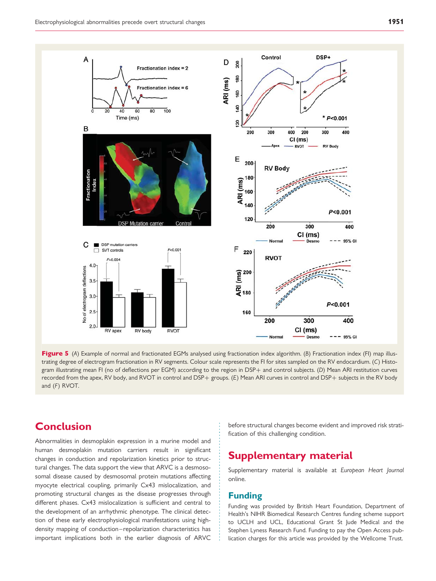<span id="page-9-0"></span>

Figure 5 (A) Example of normal and fractionated EGMs analysed using fractionation index algorithm. (B) Fractionation index (FI) map illustrating degree of electrogram fractionation in RV segments. Colour scale represents the FI for sites sampled on the RV endocardium. (C) Histogram illustrating mean FI (no of deflections per EGM) according to the region in DSP+ and control subjects. (D) Mean ARI restitution curves recorded from the apex, RV body, and RVOT in control and DSP+ groups. (E) Mean ARI curves in control and DSP+ subjects in the RV body and (F) RVOT.

# **Conclusion**

Abnormalities in desmoplakin expression in a murine model and human desmoplakin mutation carriers result in significant changes in conduction and repolarization kinetics prior to structural changes. The data support the view that ARVC is a desmososomal disease caused by desmosomal protein mutations affecting myocyte electrical coupling, primarily Cx43 mislocalization, and promoting structural changes as the disease progresses through different phases. Cx43 mislocalization is sufficient and central to the development of an arrhythmic phenotype. The clinical detection of these early electrophysiological manifestations using highdensity mapping of conduction–repolarization characteristics has important implications both in the earlier diagnosis of ARVC before structural changes become evident and improved risk stratification of this challenging condition.

# Supplementary material

[Supplementary material is available at](http://eurheartj.oxfordjournals.org/lookup/suppl/doi:10.1093/eurheartj/ehr472/-/DC1) European Heart Journal [online.](http://eurheartj.oxfordjournals.org/lookup/suppl/doi:10.1093/eurheartj/ehr472/-/DC1)

## Funding

Funding was provided by British Heart Foundation, Department of Health's NIHR Biomedical Research Centres funding scheme support to UCLH and UCL, Educational Grant St Jude Medical and the Stephen Lyness Research Fund. Funding to pay the Open Access publication charges for this article was provided by the Wellcome Trust.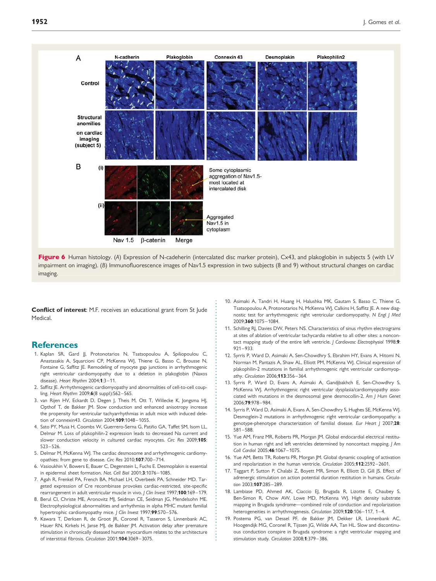<span id="page-10-0"></span>

Figure 6 Human histology. (A) Expression of N-cadeherin (intercalated disc marker protein), Cx43, and plakoglobin in subjects 5 (with LV impairment on imaging). (B) Immunofluorescence images of Nav1.5 expression in two subjects (8 and 9) without structural changes on cardiac imaging.

Conflict of interest: M.F. receives an educational grant from St Jude Medical.

## **References**

- 1. Kaplan SR, Gard JJ, Protonotarios N, Tsatsopoulou A, Spiliopoulou C, Anastasakis A, Squarcioni CP, McKenna WJ, Thiene G, Basso C, Brousse N, Fontaine G, Saffitz JE. Remodeling of myocyte gap junctions in arrhythmogenic right ventricular cardiomyopathy due to a deletion in plakoglobin (Naxos disease). Heart Rhythm 2004;1:3–11.
- 2. Saffitz JE. Arrhythmogenic cardiomyopathy and abnormalities of cell-to-cell coupling. Heart Rhythm 2009;6(8 suppl):S62-S65.
- 3. van Rijen HV, Eckardt D, Degen J, Theis M, Ott T, Willecke K, Jongsma HJ, Opthof T, de Bakker JM. Slow conduction and enhanced anisotropy increase the propensity for ventricular tachyarrhythmias in adult mice with induced deletion of connexin43. Circulation 2004;109:1048–1055.
- 4. Sato PY, Musa H, Coombs W, Guerrero-Serna G, Patiño GA, Taffet SM, Isom LL, Delmar M. Loss of plakophilin-2 expression leads to decreased Na current and slower conduction velocity in cultured cardiac myocytes. Circ Res 2009;105: 523–526.
- 5. Delmar M, McKenna WJ. The cardiac desmosome and arrhythmogenic cardiomyopathies: from gene to disease. Circ Res 2010;107:700–714.
- 6. Vasioukhin V, Bowers E, Bauer C, Degenstein L, Fuchs E. Desmoplakin is essential in epidermal sheet formation. Nat. Cell Biol 2001;3:1076–1085.
- 7. Agah R, Frenkel PA, French BA, Michael LH, Overbeek PA, Schneider MD. Targeted expression of Cre recombinase provokes cardiac-restricted, site-specific rearrangement in adult ventricular muscle in vivo. I Clin Invest 1997:100:169-179.
- 8. Berul CI, Christe ME, Aronovitz MJ, Seidman CE, Seidman JG, Mendelsohn ME. Electrophysiological abnormalities and arrhythmias in alpha MHC mutant familial hypertrophic cardiomyopathy mice. J Clin Invest 1997;99:570-576.
- 9. Kawara T, Derksen R, de Groot JR, Coronel R, Tasseron S, Linnenbank AC, Hauer RN, Kirkels H, Janse MJ, de Bakker JM. Activation delay after premature stimulation in chronically diseased human myocardium relates to the architecture of interstitial fibrosis. Circulation 2001;104:3069–3075.
- 10. Asimaki A, Tandri H, Huang H, Halushka MK, Gautam S, Basso C, Thiene G, Tsatsopoulou A, Protonotarios N, McKenna WJ, Calkins H, Saffitz JE. A new diagnostic test for arrhythmogenic right ventricular cardiomyopathy. N Engl J Med 2009;360:1075–1084.
- 11. Schilling RJ, Davies DW, Peters NS. Characteristics of sinus rhythm electrograms at sites of ablation of ventricular tachycardia relative to all other sites: a noncontact mapping study of the entire left ventricle. J Cardiovasc Electrophysiol 1998;9: 921–933.
- 12. Syrris P, Ward D, Asimaki A, Sen-Chowdhry S, Ebrahim HY, Evans A, Hitomi N, Norman M, Pantazis A, Shaw AL, Elliott PM, McKenna WJ. Clinical expression of plakophilin-2 mutations in familial arrhythmogenic right ventricular cardiomyopathy. Circulation 2006;113:356-364.
- 13. Syrris P, Ward D, Evans A, Asimaki A, Gandjbakhch E, Sen-Chowdhry S, McKenna WJ. Arrhythmogenic right ventricular dysplasia/cardiomyopathy associated with mutations in the desmosomal gene desmocollin-2. Am J Hum Genet 2006;79:978–984.
- 14. Syrris P, Ward D, Asimaki A, Evans A, Sen-Chowdhry S, Hughes SE, McKenna WJ. Desmoglein-2 mutations in arrhythmogenic right ventricular cardiomyopathy: a genotype-phenotype characterization of familial disease. Eur Heart J 2007;28: 581–588.
- 15. Yue AM, Franz MR, Roberts PR, Morgan JM. Global endocardial electrical restitution in human right and left ventricles determined by noncontact mapping. J Am Coll Cardiol 2005;46:1067–1075.
- 16. Yue AM, Betts TR, Roberts PR, Morgan JM. Global dynamic coupling of activation and repolarization in the human ventricle. Circulation 2005;112:2592–2601.
- 17. Taggart P, Sutton P, Chalabi Z, Boyett MR, Simon R, Elliott D, Gill JS. Effect of adrenergic stimulation on action potential duration restitution in humans. Circulation 2003;107:285-289.
- 18. Lambiase PD, Ahmed AK, Ciaccio EJ, Brugada R, Lizotte E, Chaubey S, Ben-Simon R, Chow AW, Lowe MD, McKenna WJ. High density substrate mapping in Brugada syndrome—combined role of conduction and repolarization heterogeneities in arrhythmogenesis. Circulation 2009;120:106-117, 1-4.
- 19. Postema PG, van Dessel PF, de Bakker JM, Dekker LR, Linnenbank AC, Hoogendijk MG, Coronel R, Tijssen JG, Wilde AA, Tan HL. Slow and discontinuous conduction conspire in Brugada syndrome: a right ventricular mapping and stimulation study. Circulation 2008;1:379–386.